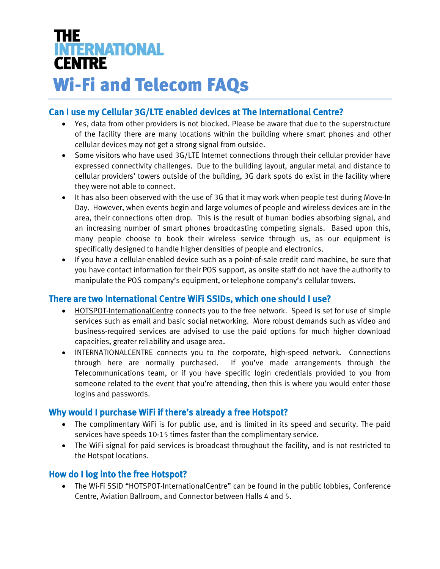# **THE INTERNATIONAL CENTRE** Wi-Fi and Telecom FAQs

# Can I use my Cellular 3G/LTE enabled devices at The International Centre?

- Yes, data from other providers is not blocked. Please be aware that due to the superstructure of the facility there are many locations within the building where smart phones and other cellular devices may not get a strong signal from outside.
- Some visitors who have used 3G/LTE Internet connections through their cellular provider have expressed connectivity challenges. Due to the building layout, angular metal and distance to cellular providers' towers outside of the building, 3G dark spots do exist in the facility where they were not able to connect.
- It has also been observed with the use of 3G that it may work when people test during Move-In Day. However, when events begin and large volumes of people and wireless devices are in the area, their connections often drop. This is the result of human bodies absorbing signal, and an increasing number of smart phones broadcasting competing signals. Based upon this, many people choose to book their wireless service through us, as our equipment is specifically designed to handle higher densities of people and electronics.
- If you have a cellular-enabled device such as a point-of-sale credit card machine, be sure that you have contact information for their POS support, as onsite staff do not have the authority to manipulate the POS company's equipment, or telephone company's cellular towers.

# There are two International Centre WiFi SSIDs, which one should I use?

- HOTSPOT-InternationalCentre connects you to the free network. Speed is set for use of simple services such as email and basic social networking. More robust demands such as video and business-required services are advised to use the paid options for much higher download capacities, greater reliability and usage area.
- INTERNATIONALCENTRE connects you to the corporate, high-speed network. Connections through here are normally purchased. If you've made arrangements through the Telecommunications team, or if you have specific login credentials provided to you from someone related to the event that you're attending, then this is where you would enter those logins and passwords.

## Why would I purchase WiFi if there's already a free Hotspot?

- The complimentary WiFi is for public use, and is limited in its speed and security. The paid services have speeds 10-15 times faster than the complimentary service.
- The WiFi signal for paid services is broadcast throughout the facility, and is not restricted to the Hotspot locations.

## How do I log into the free Hotspot?

 The Wi-Fi SSID "HOTSPOT-InternationalCentre" can be found in the public lobbies, Conference Centre, Aviation Ballroom, and Connector between Halls 4 and 5.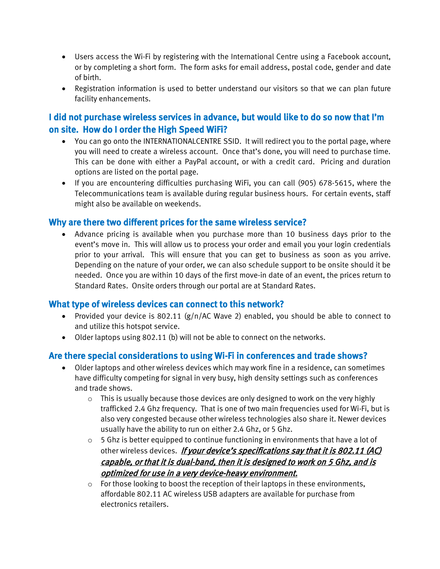- Users access the Wi-Fi by registering with the International Centre using a Facebook account, or by completing a short form. The form asks for email address, postal code, gender and date of birth.
- Registration information is used to better understand our visitors so that we can plan future facility enhancements.

# I did not purchase wireless services in advance, but would like to do so now that I'm on site. How do I order the High Speed WiFi?

- You can go onto the INTERNATIONALCENTRE SSID. It will redirect you to the portal page, where you will need to create a wireless account. Once that's done, you will need to purchase time. This can be done with either a PayPal account, or with a credit card. Pricing and duration options are listed on the portal page.
- If you are encountering difficulties purchasing WiFi, you can call (905) 678-5615, where the Telecommunications team is available during regular business hours. For certain events, staff might also be available on weekends.

## Why are there two different prices for the same wireless service?

 Advance pricing is available when you purchase more than 10 business days prior to the event's move in. This will allow us to process your order and email you your login credentials prior to your arrival. This will ensure that you can get to business as soon as you arrive. Depending on the nature of your order, we can also schedule support to be onsite should it be needed. Once you are within 10 days of the first move-in date of an event, the prices return to Standard Rates. Onsite orders through our portal are at Standard Rates.

#### What type of wireless devices can connect to this network?

- Provided your device is 802.11 (g/n/AC Wave 2) enabled, you should be able to connect to and utilize this hotspot service.
- Older laptops using 802.11 (b) will not be able to connect on the networks.

## Are there special considerations to using Wi-Fi in conferences and trade shows?

- Older laptops and other wireless devices which may work fine in a residence, can sometimes have difficulty competing for signal in very busy, high density settings such as conferences and trade shows.
	- o This is usually because those devices are only designed to work on the very highly trafficked 2.4 Ghz frequency. That is one of two main frequencies used for Wi-Fi, but is also very congested because other wireless technologies also share it. Newer devices usually have the ability to run on either 2.4 Ghz, or 5 Ghz.
	- o 5 Ghz is better equipped to continue functioning in environments that have a lot of other wireless devices. If your device's specifications say that it is 802.11 (AC) capable, or that it is dual-band, then it is designed to work on 5 Ghz, and is optimized for use in a very device-heavy environment.
	- $\circ$  For those looking to boost the reception of their laptops in these environments, affordable 802.11 AC wireless USB adapters are available for purchase from electronics retailers.